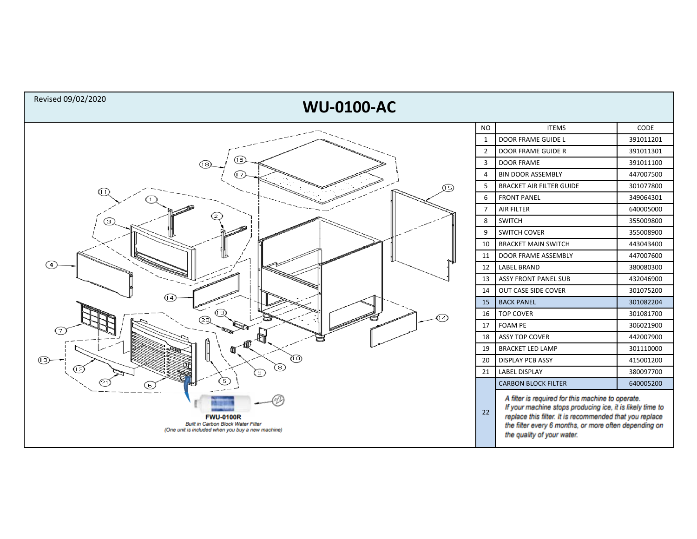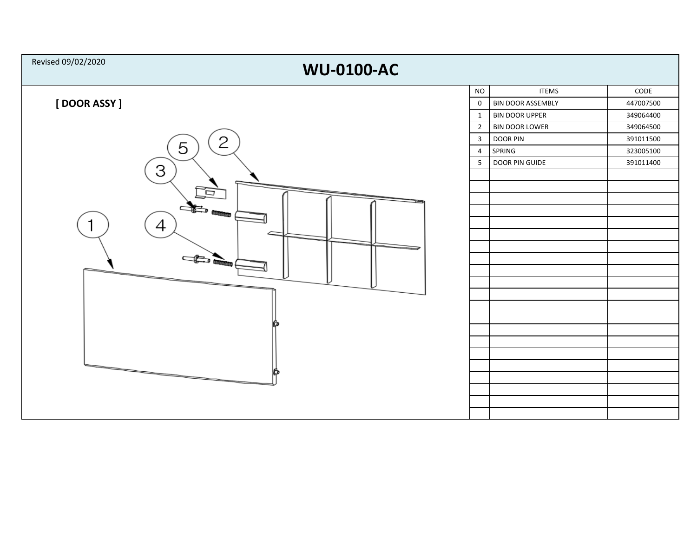| Revised 09/02/2020<br><b>WU-0100-AC</b> |                         |                          |                 |  |  |  |  |
|-----------------------------------------|-------------------------|--------------------------|-----------------|--|--|--|--|
|                                         | $\rm NO$                | <b>ITEMS</b>             | $\mathsf{CODE}$ |  |  |  |  |
| [DOOR ASSY]                             | $\mathsf{O}$            | <b>BIN DOOR ASSEMBLY</b> | 447007500       |  |  |  |  |
|                                         | $\mathbf{1}$            | <b>BIN DOOR UPPER</b>    | 349064400       |  |  |  |  |
|                                         | $\overline{2}$          | <b>BIN DOOR LOWER</b>    | 349064500       |  |  |  |  |
| 2                                       | $\overline{\mathbf{3}}$ | <b>DOOR PIN</b>          | 391011500       |  |  |  |  |
| 5                                       | $\overline{4}$          | SPRING                   | 323005100       |  |  |  |  |
| 3                                       | 5                       | DOOR PIN GUIDE           | 391011400       |  |  |  |  |
|                                         |                         |                          |                 |  |  |  |  |
| Ē                                       |                         |                          |                 |  |  |  |  |
|                                         |                         |                          |                 |  |  |  |  |
|                                         |                         |                          |                 |  |  |  |  |
| 4                                       |                         |                          |                 |  |  |  |  |
|                                         |                         |                          |                 |  |  |  |  |
| $\frac{1}{\sqrt{2}}$                    |                         |                          |                 |  |  |  |  |
|                                         |                         |                          |                 |  |  |  |  |
|                                         |                         |                          |                 |  |  |  |  |
|                                         |                         |                          |                 |  |  |  |  |
|                                         |                         |                          |                 |  |  |  |  |
|                                         |                         |                          |                 |  |  |  |  |
|                                         |                         |                          |                 |  |  |  |  |
|                                         |                         |                          |                 |  |  |  |  |
|                                         |                         |                          |                 |  |  |  |  |
| __                                      |                         |                          |                 |  |  |  |  |
|                                         |                         |                          |                 |  |  |  |  |
|                                         |                         |                          |                 |  |  |  |  |
|                                         |                         |                          |                 |  |  |  |  |
|                                         |                         |                          |                 |  |  |  |  |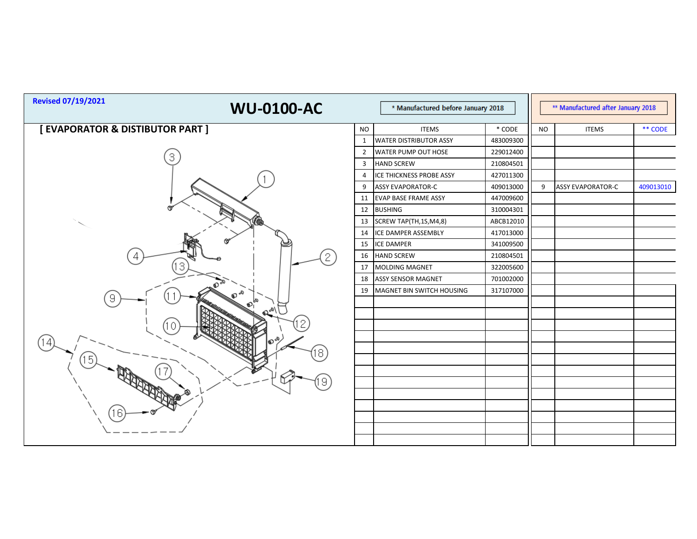| <b>Revised 07/19/2021</b>      | <b>WU-0100-AC</b><br>* Manufactured before January 2018 |                | ** Manufactured after January 2018 |           |           |                          |           |
|--------------------------------|---------------------------------------------------------|----------------|------------------------------------|-----------|-----------|--------------------------|-----------|
| [EVAPORATOR & DISTIBUTOR PART] |                                                         | <b>NO</b>      | <b>ITEMS</b>                       | * CODE    | <b>NO</b> | <b>ITEMS</b>             | ** CODE   |
|                                |                                                         |                | <b>WATER DISTRIBUTOR ASSY</b>      | 483009300 |           |                          |           |
| 3                              |                                                         | $\overline{2}$ | WATER PUMP OUT HOSE                | 229012400 |           |                          |           |
|                                |                                                         | 3              | <b>HAND SCREW</b>                  | 210804501 |           |                          |           |
|                                |                                                         | 4              | ICE THICKNESS PROBE ASSY           | 427011300 |           |                          |           |
|                                |                                                         | 9              | <b>ASSY EVAPORATOR-C</b>           | 409013000 | 9         | <b>ASSY EVAPORATOR-C</b> | 409013010 |
|                                |                                                         | 11             | EVAP BASE FRAME ASSY               | 447009600 |           |                          |           |
|                                |                                                         | 12             | <b>BUSHING</b>                     | 310004301 |           |                          |           |
|                                |                                                         | 13             | SCREW TAP(TH,1S,M4,8)              | ABCB12010 |           |                          |           |
|                                |                                                         | 14             | ICE DAMPER ASSEMBLY                | 417013000 |           |                          |           |
|                                |                                                         | 15             | <b>ICE DAMPER</b>                  | 341009500 |           |                          |           |
|                                | 2                                                       | 16             | <b>HAND SCREW</b>                  | 210804501 |           |                          |           |
|                                |                                                         | 17             | <b>MOLDING MAGNET</b>              | 322005600 |           |                          |           |
|                                |                                                         | 18             | <b>ASSY SENSOR MAGNET</b>          | 701002000 |           |                          |           |
|                                |                                                         | 19             | MAGNET BIN SWITCH HOUSING          | 317107000 |           |                          |           |
| 9                              |                                                         |                |                                    |           |           |                          |           |
|                                | ا \هم                                                   |                |                                    |           |           |                          |           |
|                                |                                                         |                |                                    |           |           |                          |           |
|                                |                                                         |                |                                    |           |           |                          |           |
|                                |                                                         |                |                                    |           |           |                          |           |
|                                |                                                         |                |                                    |           |           |                          |           |
|                                |                                                         |                |                                    |           |           |                          |           |
|                                | 9                                                       |                |                                    |           |           |                          |           |
|                                |                                                         |                |                                    |           |           |                          |           |
| 16                             |                                                         |                |                                    |           |           |                          |           |
|                                |                                                         |                |                                    |           |           |                          |           |
|                                |                                                         |                |                                    |           |           |                          |           |
|                                |                                                         |                |                                    |           |           |                          |           |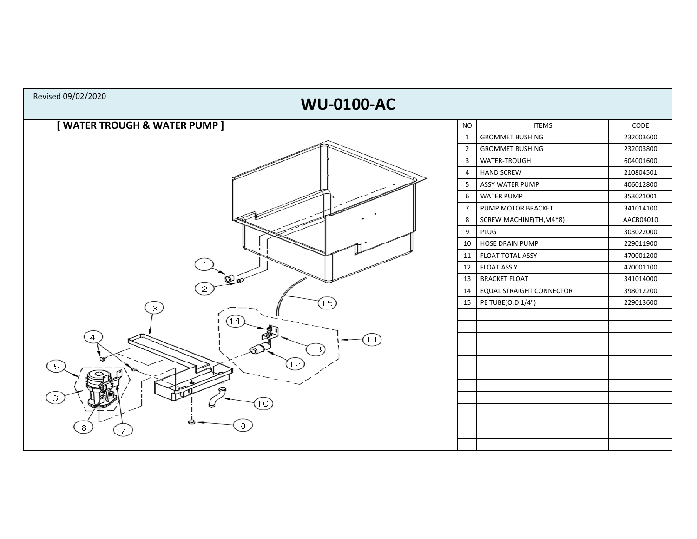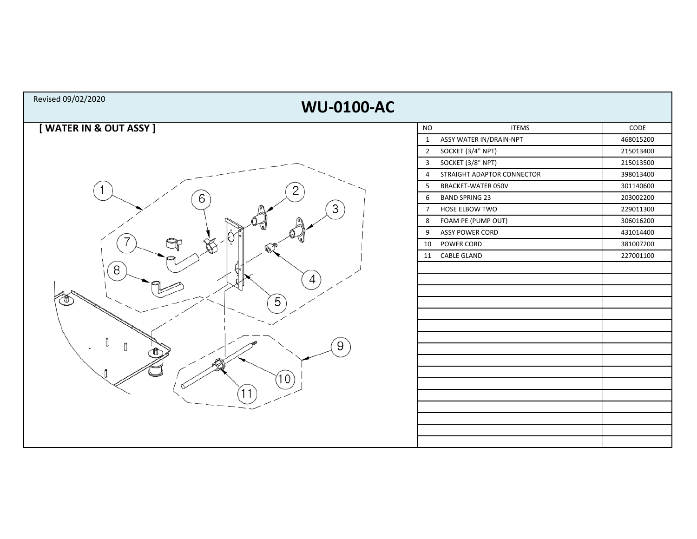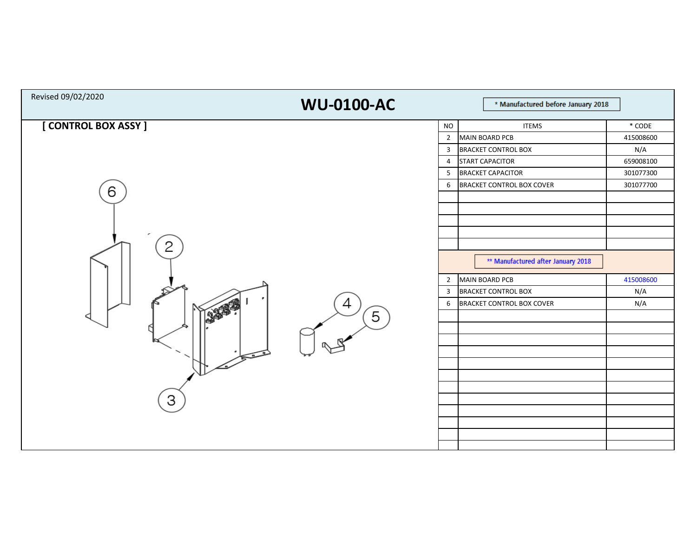| Revised 09/02/2020        | <b>WU-0100-AC</b> | * Manufactured before January 2018                                                                                                                                                                                                        |                                                                     |  |  |
|---------------------------|-------------------|-------------------------------------------------------------------------------------------------------------------------------------------------------------------------------------------------------------------------------------------|---------------------------------------------------------------------|--|--|
| [ CONTROL BOX ASSY ]<br>6 |                   | <b>ITEMS</b><br>$\rm NO$<br>$\overline{2}$<br><b>MAIN BOARD PCB</b><br><b>BRACKET CONTROL BOX</b><br>$\overline{3}$<br><b>START CAPACITOR</b><br>$\overline{4}$<br><b>BRACKET CAPACITOR</b><br>5<br><b>BRACKET CONTROL BOX COVER</b><br>6 | $*$ CODE<br>415008600<br>N/A<br>659008100<br>301077300<br>301077700 |  |  |
| 2                         | 4<br>5            | ** Manufactured after January 2018<br><b>MAIN BOARD PCB</b><br>$\overline{2}$<br><b>BRACKET CONTROL BOX</b><br>3<br><b>BRACKET CONTROL BOX COVER</b><br>6                                                                                 | 415008600<br>N/A<br>N/A                                             |  |  |
| 3                         |                   |                                                                                                                                                                                                                                           |                                                                     |  |  |